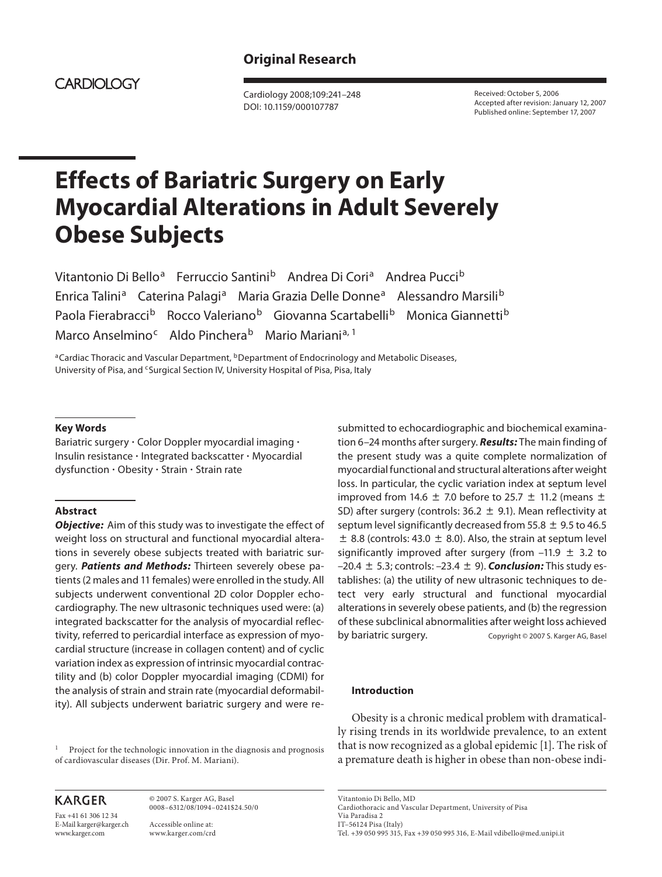# **Original Research**



 Cardiology 2008;109:241–248 DOI: 10.1159/000107787

 Received: October 5, 2006 Accepted after revision: January 12, 2007 Published online: September 17, 2007

# **Effects of Bariatric Surgery on Early Myocardial Alterations in Adult Severely Obese Subjects**

Vitantonio Di Bello<sup>a</sup> Ferruccio Santini<sup>b</sup> Andrea Di Cori<sup>a</sup> Andrea Pucci<sup>b</sup> Enrica Talini<sup>a</sup> Caterina Palagi<sup>a</sup> Maria Grazia Delle Donne<sup>a</sup> Alessandro Marsili<sup>b</sup> Paola Fierabracci<sup>b</sup> Rocco Valeriano<sup>b</sup> Giovanna Scartabelli<sup>b</sup> Monica Giannetti<sup>b</sup> Marco Anselmino<sup>c</sup> Aldo Pinchera<sup>b</sup> Mario Mariani<sup>a, 1</sup>

<sup>a</sup> Cardiac Thoracic and Vascular Department, <sup>b</sup> Department of Endocrinology and Metabolic Diseases, University of Pisa, and <sup>c</sup>Surgical Section IV, University Hospital of Pisa, Pisa, Italy

# **Key Words**

Bariatric surgery · Color Doppler myocardial imaging · Insulin resistance - Integrated backscatter - Myocardial dysfunction · Obesity · Strain · Strain rate

# **Abstract**

**Objective:** Aim of this study was to investigate the effect of weight loss on structural and functional myocardial alterations in severely obese subjects treated with bariatric surgery. *Patients and Methods:* Thirteen severely obese patients (2 males and 11 females) were enrolled in the study. All subjects underwent conventional 2D color Doppler echocardiography. The new ultrasonic techniques used were: (a) integrated backscatter for the analysis of myocardial reflectivity, referred to pericardial interface as expression of myocardial structure (increase in collagen content) and of cyclic variation index as expression of intrinsic myocardial contractility and (b) color Doppler myocardial imaging (CDMI) for the analysis of strain and strain rate (myocardial deformability). All subjects underwent bariatric surgery and were re-

1 Project for the technologic innovation in the diagnosis and prognosis of cardiovascular diseases (Dir. Prof. M. Mariani).

submitted to echocardiographic and biochemical examination 6–24 months after surgery. *Results:* The main finding of the present study was a quite complete normalization of myocardial functional and structural alterations after weight loss. In particular, the cyclic variation index at septum level improved from 14.6  $\pm$  7.0 before to 25.7  $\pm$  11.2 (means  $\pm$ SD) after surgery (controls:  $36.2 \pm 9.1$ ). Mean reflectivity at septum level significantly decreased from 55.8  $\pm$  9.5 to 46.5  $\pm$  8.8 (controls: 43.0  $\pm$  8.0). Also, the strain at septum level significantly improved after surgery (from  $-11.9 \pm 3.2$  to  $-20.4 \pm 5.3$ ; controls:  $-23.4 \pm 9$ ). **Conclusion:** This study establishes: (a) the utility of new ultrasonic techniques to detect very early structural and functional myocardial alterations in severely obese patients, and (b) the regression of these subclinical abnormalities after weight loss achieved by bariatric surgery. Copyright © 2007 S. Karger AG, Basel

# **Introduction**

 Obesity is a chronic medical problem with dramatically rising trends in its worldwide prevalence, to an extent that is now recognized as a global epidemic [1] . The risk of a premature death is higher in obese than non-obese indi-

**KARGER** Fax +41 61 306 12 34

E-Mail karger@karger.ch www.karger.com

 © 2007 S. Karger AG, Basel 0008–6312/08/1094–0241\$24.50/0

 Accessible online at: www.karger.com/crd

 Vitantonio Di Bello, MD Cardiothoracic and Vascular Department, University of Pisa Via Paradisa 2 IT–56124 Pisa (Italy) Tel. +39 050 995 315, Fax +39 050 995 316, E-Mail vdibello@med.unipi.it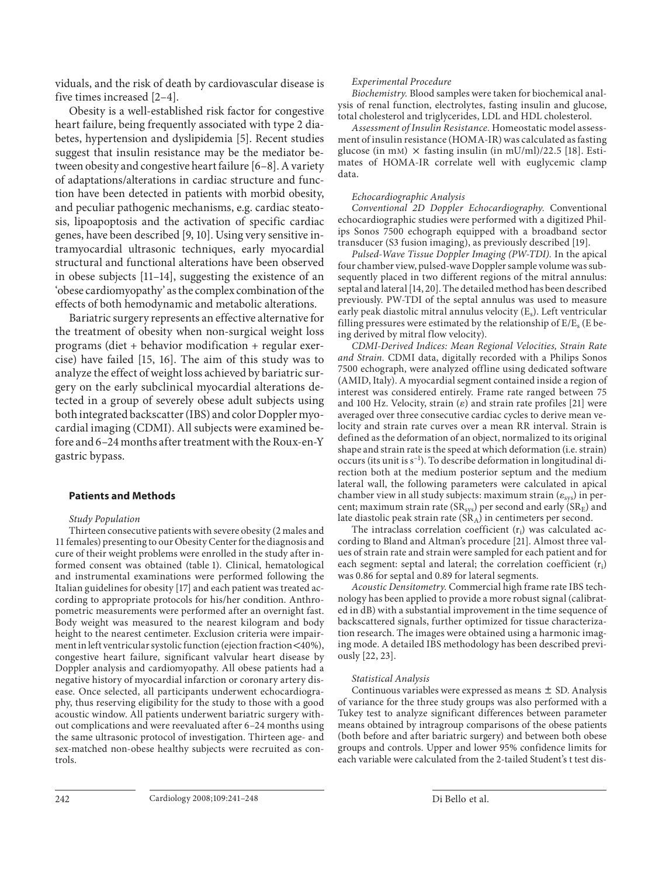viduals, and the risk of death by cardiovascular disease is five times increased [2–4] .

 Obesity is a well-established risk factor for congestive heart failure, being frequently associated with type 2 diabetes, hypertension and dyslipidemia [5]. Recent studies suggest that insulin resistance may be the mediator between obesity and congestive heart failure [6–8] . A variety of adaptations/alterations in cardiac structure and function have been detected in patients with morbid obesity, and peculiar pathogenic mechanisms, e.g. cardiac steatosis, lipoapoptosis and the activation of specific cardiac genes, have been described [9, 10] . Using very sensitive intramyocardial ultrasonic techniques, early myocardial structural and functional alterations have been observed in obese subjects [11–14], suggesting the existence of an 'obese cardiomyopathy' as the complex combination of the effects of both hemodynamic and metabolic alterations.

 Bariatric surgery represents an effective alternative for the treatment of obesity when non-surgical weight loss programs (diet + behavior modification + regular exercise) have failed [15, 16]. The aim of this study was to analyze the effect of weight loss achieved by bariatric surgery on the early subclinical myocardial alterations detected in a group of severely obese adult subjects using both integrated backscatter (IBS) and color Doppler myocardial imaging (CDMI). All subjects were examined before and 6–24 months after treatment with the Roux-en-Y gastric bypass.

# **Patients and Methods**

#### *Study Population*

 Thirteen consecutive patients with severe obesity (2 males and 11 females) presenting to our Obesity Center for the diagnosis and cure of their weight problems were enrolled in the study after informed consent was obtained (table 1). Clinical, hematological and instrumental examinations were performed following the Italian guidelines for obesity [17] and each patient was treated according to appropriate protocols for his/her condition. Anthropometric measurements were performed after an overnight fast. Body weight was measured to the nearest kilogram and body height to the nearest centimeter. Exclusion criteria were impairment in left ventricular systolic function (ejection fraction  $\langle 40\% \rangle$ , congestive heart failure, significant valvular heart disease by Doppler analysis and cardiomyopathy. All obese patients had a negative history of myocardial infarction or coronary artery disease. Once selected, all participants underwent echocardiography, thus reserving eligibility for the study to those with a good acoustic window. All patients underwent bariatric surgery without complications and were reevaluated after 6–24 months using the same ultrasonic protocol of investigation. Thirteen age- and sex-matched non-obese healthy subjects were recruited as controls.

#### *Experimental Procedure*

 *Biochemistry.* Blood samples were taken for biochemical analysis of renal function, electrolytes, fasting insulin and glucose, total cholesterol and triglycerides, LDL and HDL cholesterol.

 *Assessment of Insulin Resistance.* Homeostatic model assessment of insulin resistance (HOMA-IR) was calculated as fasting glucose (in mM)  $\times$  fasting insulin (in mU/ml)/22.5 [18]. Estimates of HOMA-IR correlate well with euglycemic clamp data.

#### *Echocardiographic Analysis*

 *Conventional 2D Doppler Echocardiography.* Conventional echocardiographic studies were performed with a digitized Philips Sonos 7500 echograph equipped with a broadband sector transducer (S3 fusion imaging), as previously described [19] .

 *Pulsed-Wave Tissue Doppler Imaging (PW-TDI).* In the apical four chamber view, pulsed-wave Doppler sample volume was subsequently placed in two different regions of the mitral annulus: septal and lateral [14, 20] . The detailed method has been described previously. PW-TDI of the septal annulus was used to measure early peak diastolic mitral annulus velocity  $(E_s)$ . Left ventricular filling pressures were estimated by the relationship of  $E/E_s$  (E being derived by mitral flow velocity).

 *CDMI-Derived Indices: Mean Regional Velocities, Strain Rate and Strain.* CDMI data, digitally recorded with a Philips Sonos 7500 echograph, were analyzed offline using dedicated software (AMID, Italy). A myocardial segment contained inside a region of interest was considered entirely. Frame rate ranged between 75 and 100 Hz. Velocity, strain  $(\varepsilon)$  and strain rate profiles [21] were averaged over three consecutive cardiac cycles to derive mean velocity and strain rate curves over a mean RR interval. Strain is defined as the deformation of an object, normalized to its original shape and strain rate is the speed at which deformation (i.e. strain) occurs (its unit is  $s^{-1}$ ). To describe deformation in longitudinal direction both at the medium posterior septum and the medium lateral wall, the following parameters were calculated in apical chamber view in all study subjects: maximum strain  $(\varepsilon_{sys})$  in percent; maximum strain rate ( $SR_{sys}$ ) per second and early ( $SR_E$ ) and late diastolic peak strain rate  $(SR_A)$  in centimeters per second.

The intraclass correlation coefficient  $(r_i)$  was calculated according to Bland and Altman's procedure [21] . Almost three values of strain rate and strain were sampled for each patient and for each segment: septal and lateral; the correlation coefficient  $(r_i)$ was 0.86 for septal and 0.89 for lateral segments.

 *Acoustic Densitometry.* Commercial high frame rate IBS technology has been applied to provide a more robust signal (calibrated in dB) with a substantial improvement in the time sequence of backscattered signals, further optimized for tissue characterization research. The images were obtained using a harmonic imaging mode. A detailed IBS methodology has been described previously [22, 23] .

#### *Statistical Analysis*

Continuous variables were expressed as means  $\pm$  SD. Analysis of variance for the three study groups was also performed with a Tukey test to analyze significant differences between parameter means obtained by intragroup comparisons of the obese patients (both before and after bariatric surgery) and between both obese groups and controls. Upper and lower 95% confidence limits for each variable were calculated from the 2-tailed Student's t test dis-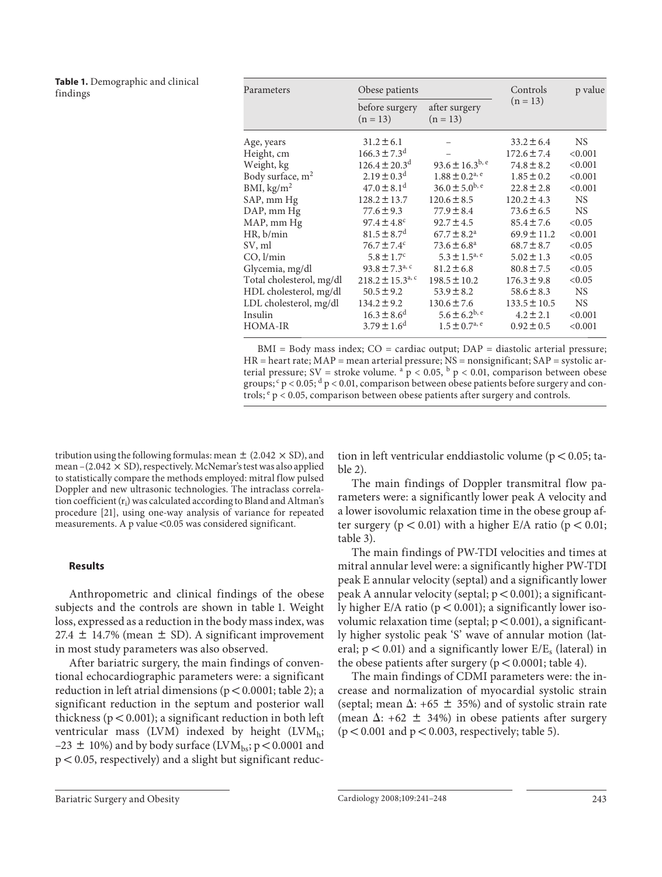#### **Table 1.** Demographic and clinical findings

| Parameters                   | Obese patients                 |                                | Controls         | p value   |
|------------------------------|--------------------------------|--------------------------------|------------------|-----------|
|                              | before surgery<br>$(n = 13)$   | after surgery<br>$(n = 13)$    | $(n = 13)$       |           |
| Age, years                   | $31.2 \pm 6.1$                 |                                | $33.2 \pm 6.4$   | NS.       |
| Height, cm                   | $166.3 \pm 7.3$ <sup>d</sup>   |                                | $172.6 \pm 7.4$  | < 0.001   |
| Weight, kg                   | $126.4 \pm 20.3$ <sup>d</sup>  | $93.6 \pm 16.3^{b,e}$          | $74.8 \pm 8.2$   | < 0.001   |
| Body surface, m <sup>2</sup> | $2.19 \pm 0.3$ <sup>d</sup>    | $1.88 \pm 0.2$ <sup>a, e</sup> | $1.85 \pm 0.2$   | < 0.001   |
| BMI, $\text{kg/m}^2$         | $47.0 \pm 8.1$ <sup>d</sup>    | $36.0 \pm 5.0^{b, e}$          | $22.8 \pm 2.8$   | < 0.001   |
| SAP, mm Hg                   | $128.2 \pm 13.7$               | $120.6 \pm 8.5$                | $120.2 \pm 4.3$  | NS.       |
| DAP, mm Hg                   | $77.6 \pm 9.3$                 | $77.9 \pm 8.4$                 | $73.6 \pm 6.5$   | <b>NS</b> |
| MAP, mm Hg                   | $97.4 \pm 4.8$ <sup>c</sup>    | $92.7 \pm 4.5$                 | $85.4 \pm 7.6$   | < 0.05    |
| HR, b/min                    | $81.5 \pm 8.7$ <sup>d</sup>    | $67.7 \pm 8.2^{\text{a}}$      | $69.9 \pm 11.2$  | < 0.001   |
| SV, ml                       | $76.7 \pm 7.4^c$               | $73.6 \pm 6.8^{\rm a}$         | $68.7 \pm 8.7$   | < 0.05    |
| CO, 1/min                    | $5.8 \pm 1.7^c$                | $5.3 \pm 1.5^{a, e}$           | $5.02 \pm 1.3$   | < 0.05    |
| Glycemia, mg/dl              | 93.8 $\pm$ 7.3 <sup>a, c</sup> | $81.2 \pm 6.8$                 | $80.8 \pm 7.5$   | < 0.05    |
| Total cholesterol, mg/dl     | $218.2 \pm 15.3^{a,c}$         | $198.5 \pm 10.2$               | $176.3 \pm 9.8$  | < 0.05    |
| HDL cholesterol, mg/dl       | $50.5 \pm 9.2$                 | $53.9 \pm 8.2$                 | $58.6 \pm 8.3$   | <b>NS</b> |
| LDL cholesterol, mg/dl       | $134.2 \pm 9.2$                | $130.6 \pm 7.6$                | $133.5 \pm 10.5$ | <b>NS</b> |
| Insulin                      | $16.3 \pm 8.6$ <sup>d</sup>    | $5.6 \pm 6.2^{b,e}$            | $4.2 \pm 2.1$    | < 0.001   |
| <b>HOMA-IR</b>               | $3.79 \pm 1.6$ <sup>d</sup>    | $1.5 \pm 0.7^{a, e}$           | $0.92 \pm 0.5$   | < 0.001   |

 $BMI = Body$  mass index;  $CO =$  cardiac output;  $DAP =$  diastolic arterial pressure;  $HR = heart$  rate;  $MAP = mean$  arterial pressure;  $NS = nonsignificant$ ;  $SAP = systolic$  arterial pressure; SV = stroke volume.  $a p < 0.05$ ,  $b p < 0.01$ , comparison between obese groups;  $c$  p < 0.05;  $d$  p < 0.01, comparison between obese patients before surgery and controls;  $e$  p < 0.05, comparison between obese patients after surgery and controls.

tribution using the following formulas: mean  $\pm$  (2.042  $\times$  SD), and mean  $-(2.042 \times SD)$ , respectively. McNemar's test was also applied to statistically compare the methods employed: mitral flow pulsed Doppler and new ultrasonic technologies. The intraclass correlation coefficient  $(r_i)$  was calculated according to Bland and Altman's procedure [21], using one-way analysis of variance for repeated measurements. A p value  $<$  0.05 was considered significant.

#### **Results**

 Anthropometric and clinical findings of the obese subjects and the controls are shown in table 1. Weight loss, expressed as a reduction in the body mass index, was  $27.4 \pm 14.7\%$  (mean  $\pm$  SD). A significant improvement in most study parameters was also observed.

 After bariatric surgery, the main findings of conventional echocardiographic parameters were: a significant reduction in left atrial dimensions ( $p < 0.0001$ ; table 2); a significant reduction in the septum and posterior wall thickness ( $p < 0.001$ ); a significant reduction in both left ventricular mass (LVM) indexed by height (LVM $_{\rm h}$ ; –23  $\pm$  10%) and by body surface (LVM<sub>bs</sub>; p < 0.0001 and  $p < 0.05$ , respectively) and a slight but significant reduction in left ventricular enddiastolic volume ( $p < 0.05$ ; table  $2$ ).

 The main findings of Doppler transmitral flow parameters were: a significantly lower peak A velocity and a lower isovolumic relaxation time in the obese group after surgery ( $p < 0.01$ ) with a higher E/A ratio ( $p < 0.01$ ; table 3).

 The main findings of PW-TDI velocities and times at mitral annular level were: a significantly higher PW-TDI peak E annular velocity (septal) and a significantly lower peak A annular velocity (septal;  $p < 0.001$ ); a significantly higher E/A ratio ( $p < 0.001$ ); a significantly lower isovolumic relaxation time (septal;  $p < 0.001$ ), a significantly higher systolic peak 'S' wave of annular motion (lateral;  $p < 0.01$ ) and a significantly lower  $E/E_s$  (lateral) in the obese patients after surgery ( $p < 0.0001$ ; table 4).

 The main findings of CDMI parameters were: the increase and normalization of myocardial systolic strain (septal; mean  $\Delta$ : +65  $\pm$  35%) and of systolic strain rate (mean  $\Delta$ : +62  $\pm$  34%) in obese patients after surgery  $(p < 0.001$  and  $p < 0.003$ , respectively; table 5).

Bariatric Surgery and Obesity Cardiology 2008;109:241-248 243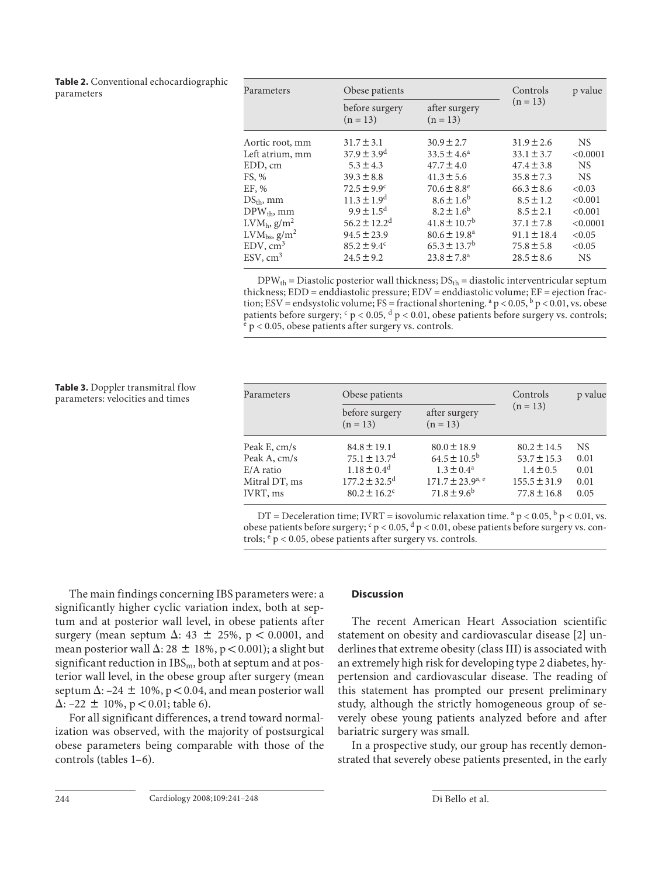**Table 2.** Conventional echocardiographic parameters

| Parameters                    | Obese patients               |                              |                 | p value   |
|-------------------------------|------------------------------|------------------------------|-----------------|-----------|
|                               | before surgery<br>$(n = 13)$ | after surgery<br>$(n = 13)$  | $(n = 13)$      |           |
| Aortic root, mm               | $31.7 \pm 3.1$               | $30.9 \pm 2.7$               | $31.9 \pm 2.6$  | <b>NS</b> |
| Left atrium, mm               | $37.9 \pm 3.9$ <sup>d</sup>  | $33.5 \pm 4.6^a$             | $33.1 \pm 3.7$  | < 0.0001  |
| EDD, cm                       | $5.3 \pm 4.3$                | $47.7 \pm 4.0$               | $47.4 \pm 3.8$  | <b>NS</b> |
| FS, %                         | $39.3 \pm 8.8$               | $41.3 \pm 5.6$               | $35.8 \pm 7.3$  | <b>NS</b> |
| EF, %                         | $72.5 \pm 9.9^{\circ}$       | $70.6 \pm 8.8^e$             | $66.3 \pm 8.6$  | < 0.03    |
| $DS_{\text{th}}$ , mm         | $11.3 \pm 1.9$ <sup>d</sup>  | $8.6 \pm 1.6^{\circ}$        | $8.5 \pm 1.2$   | < 0.001   |
| $DPW_{th}$ , mm               | $9.9 \pm 1.5$ <sup>d</sup>   | $8.2 \pm 1.6^b$              | $8.5 \pm 2.1$   | < 0.001   |
| $LVM_h$ , g/m <sup>2</sup>    | $56.2 \pm 12.2$ <sup>d</sup> | $41.8 \pm 10.7$ <sup>b</sup> | $37.1 \pm 7.8$  | < 0.0001  |
| $LVM_{bs}$ , g/m <sup>2</sup> | $94.5 \pm 23.9$              | $80.6 \pm 19.8^a$            | $91.1 \pm 18.4$ | < 0.05    |
| EDV, cm <sup>3</sup>          | $85.2 \pm 9.4^c$             | $65.3 \pm 13.7$ <sup>b</sup> | $75.8 \pm 5.8$  | < 0.05    |
| ESV, cm <sup>3</sup>          | $24.5 \pm 9.2$               | $23.8 \pm 7.8$ <sup>a</sup>  | $28.5 \pm 8.6$  | <b>NS</b> |

 $DPW_{th}$  = Diastolic posterior wall thickness;  $DS_{th}$  = diastolic interventricular septum thickness; EDD = enddiastolic pressure; EDV = enddiastolic volume; EF = ejection fraction; ESV = endsystolic volume; FS = fractional shortening.  ${}^{a}p$  < 0.05,  ${}^{b}p$  < 0.01, vs. obese patients before surgery;  $c_p < 0.05$ ,  $d_p < 0.01$ , obese patients before surgery vs. controls;<br> $e_p < 0.05$ , obese patients after surgery vs. controls  $e<sub>p</sub> < 0.05$ , obese patients after surgery vs. controls.

| Parameters    | Obese patients                |                             |                  | p value |
|---------------|-------------------------------|-----------------------------|------------------|---------|
|               | before surgery<br>$(n = 13)$  | after surgery<br>$(n = 13)$ | $(n = 13)$       |         |
| Peak E, cm/s  | $84.8 \pm 19.1$               | $80.0 \pm 18.9$             | $80.2 \pm 14.5$  | NS      |
| Peak A, cm/s  | $75.1 \pm 13.7$ <sup>d</sup>  | $64.5 \pm 10.5^{\rm b}$     | $53.7 \pm 15.3$  | 0.01    |
| $E/A$ ratio   | $1.18 \pm 0.4$ <sup>d</sup>   | $1.3 \pm 0.4^{\text{a}}$    | $1.4 \pm 0.5$    | 0.01    |
| Mitral DT, ms | $177.2 \pm 32.5^{\mathrm{d}}$ | $171.7 \pm 23.9^{a, e}$     | $155.5 \pm 31.9$ | 0.01    |
| IVRT, ms      | $80.2 \pm 16.2$ <sup>c</sup>  | $71.8 \pm 9.6^b$            | $77.8 \pm 16.8$  | 0.05    |

DT = Deceleration time; IVRT = isovolumic relaxation time.  ${}^{a}$  p < 0.05,  ${}^{b}$  p < 0.01, vs. obese patients before surgery;  $c$  p < 0.05,  $d$  p < 0.01, obese patients before surgery vs. controls;  $e$  p < 0.05, obese patients after surgery vs. controls.

 The main findings concerning IBS parameters were: a significantly higher cyclic variation index, both at septum and at posterior wall level, in obese patients after surgery (mean septum  $\Delta$ : 43  $\pm$  25%, p < 0.0001, and mean posterior wall  $\Delta$ : 28  $\pm$  18%, p < 0.001); a slight but significant reduction in  $IBS<sub>m</sub>$ , both at septum and at posterior wall level, in the obese group after surgery (mean septum  $\Delta$ : -24  $\pm$  10%, p < 0.04, and mean posterior wall  $\Delta$ :  $-22 \pm 10\%$ , p < 0.01; table 6).

 For all significant differences, a trend toward normalization was observed, with the majority of postsurgical obese parameters being comparable with those of the controls (tables  $1-6$ ).

# **Discussion**

 The recent American Heart Association scientific statement on obesity and cardiovascular disease [2] underlines that extreme obesity (class III) is associated with an extremely high risk for developing type 2 diabetes, hypertension and cardiovascular disease. The reading of this statement has prompted our present preliminary study, although the strictly homogeneous group of severely obese young patients analyzed before and after bariatric surgery was small.

 In a prospective study, our group has recently demonstrated that severely obese patients presented, in the early

# **Table 3.** Doppler transmitral flow parameters: velocities and times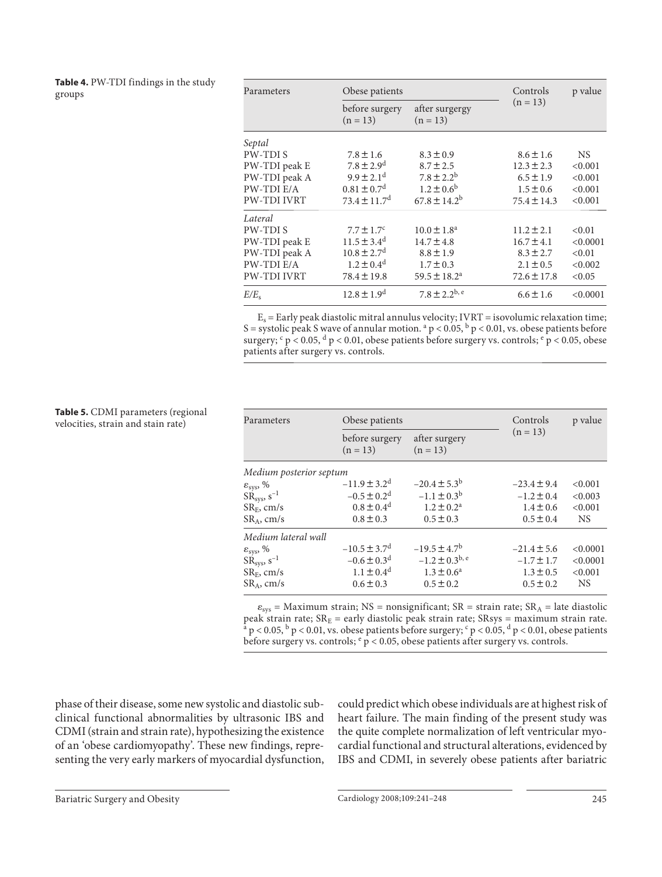**Table 4.** PW-TDI findings in the study groups

| Parameters         | Obese patients               |                              |                 | p value  |
|--------------------|------------------------------|------------------------------|-----------------|----------|
|                    | before surgery<br>$(n = 13)$ | after surgergy<br>$(n = 13)$ | $(n = 13)$      |          |
| Septal             |                              |                              |                 |          |
| <b>PW-TDIS</b>     | $7.8 \pm 1.6$                | $8.3 \pm 0.9$                | $8.6 \pm 1.6$   | NS.      |
| PW-TDI peak E      | $7.8 \pm 2.9$ <sup>d</sup>   | $8.7 \pm 2.5$                | $12.3 \pm 2.3$  | < 0.001  |
| PW-TDI peak A      | $9.9 \pm 2.1$ <sup>d</sup>   | $7.8 \pm 2.2^b$              | $6.5 \pm 1.9$   | < 0.001  |
| PW-TDI E/A         | $0.81 \pm 0.7$ <sup>d</sup>  | $1.2 \pm 0.6^{\rm b}$        | $1.5 \pm 0.6$   | < 0.001  |
| <b>PW-TDI IVRT</b> | $73.4 \pm 11.7$ <sup>d</sup> | $67.8 \pm 14.2^b$            | $75.4 \pm 14.3$ | < 0.001  |
| Lateral            |                              |                              |                 |          |
| <b>PW-TDIS</b>     | $7.7 \pm 1.7^c$              | $10.0 \pm 1.8^{\text{a}}$    | $11.2 \pm 2.1$  | < 0.01   |
| PW-TDI peak E      | $11.5 \pm 3.4$ <sup>d</sup>  | $14.7 \pm 4.8$               | $16.7 \pm 4.1$  | < 0.0001 |
| PW-TDI peak A      | $10.8 \pm 2.7$ <sup>d</sup>  | $8.8 \pm 1.9$                | $8.3 \pm 2.7$   | < 0.01   |
| PW-TDI E/A         | $1.2 \pm 0.4$ <sup>d</sup>   | $1.7 \pm 0.3$                | $2.1 \pm 0.5$   | < 0.002  |
| <b>PW-TDI IVRT</b> | $78.4 \pm 19.8$              | $59.5 \pm 18.2^a$            | $72.6 \pm 17.8$ | < 0.05   |
| $E/E_s$            | $12.8 \pm 1.9$ <sup>d</sup>  | $7.8 \pm 2.2^{b,e}$          | $6.6 \pm 1.6$   | < 0.0001 |

 $E_s$  = Early peak diastolic mitral annulus velocity; IVRT = isovolumic relaxation time; S = systolic peak S wave of annular motion.  ${}^{a}p<0.05, {}^{b}p<0.01$ , vs. obese patients before surgery;  $\frac{c}{p}$  < 0.05,  $\frac{d}{p}$  < 0.01, obese patients before surgery vs. controls;  $\frac{e}{p}$  < 0.05, obese patients after surgery vs. controls.

| Parameters                                                         | Obese patients               |                              | Controls        | p value   |
|--------------------------------------------------------------------|------------------------------|------------------------------|-----------------|-----------|
|                                                                    | before surgery<br>$(n = 13)$ | after surgery<br>$(n = 13)$  | $(n = 13)$      |           |
| Medium posterior septum                                            |                              |                              |                 |           |
|                                                                    | $-11.9 \pm 3.2$ <sup>d</sup> | $-20.4 \pm 5.3^{\rm b}$      | $-23.4 \pm 9.4$ | < 0.001   |
| $\frac{\varepsilon_{\rm sys}, \ %}{\text{SR}_{\rm sys}, \ s^{-1}}$ | $-0.5 \pm 0.2$ <sup>d</sup>  | $-1.1 \pm 0.3^b$             | $-1.2 \pm 0.4$  | < 0.003   |
| $SR_F$ , cm/s                                                      | $0.8 \pm 0.4$ <sup>d</sup>   | $1.2 \pm 0.2^a$              | $1.4 \pm 0.6$   | < 0.001   |
| $SR_A$ , cm/s                                                      | $0.8 \pm 0.3$                | $0.5 \pm 0.3$                | $0.5 \pm 0.4$   | <b>NS</b> |
| Medium lateral wall                                                |                              |                              |                 |           |
| $\varepsilon_{\rm sys},$ %                                         | $-10.5 \pm 3.7$ <sup>d</sup> | $-19.5 \pm 4.7$ <sup>b</sup> | $-21.4 \pm 5.6$ | < 0.0001  |
| $S\dot{R}_{sys}$ , $s^{-1}$                                        | $-0.6 \pm 0.3$ <sup>d</sup>  | $-1.2 \pm 0.3^{b, e}$        | $-1.7 \pm 1.7$  | < 0.0001  |
| $SR_E$ , cm/s                                                      | $1.1 \pm 0.4^d$              | $1.3 \pm 0.6^a$              | $1.3 \pm 0.5$   | < 0.001   |
| $SR_A$ , cm/s                                                      | $0.6 \pm 0.3$                | $0.5 \pm 0.2$                | $0.5 \pm 0.2$   | <b>NS</b> |

 $\varepsilon_{sys}$  = Maximum strain; NS = nonsignificant; SR = strain rate; SR<sub>A</sub> = late diastolic peak strain rate;  $SR_E$  = early diastolic peak strain rate;  $SRsys$  = maximum strain rate.  $p < 0.05$ ,  $p < 0.01$ , vs. obese patients before surgery;  $c$  p < 0.05,  $d$  p < 0.01, obese patients before surgery vs. controls;  $e$  p < 0.05, obese patients after surgery vs. controls.

phase of their disease, some new systolic and diastolic subclinical functional abnormalities by ultrasonic IBS and CDMI (strain and strain rate), hypothesizing the existence of an 'obese cardiomyopathy'. These new findings, representing the very early markers of myocardial dysfunction, could predict which obese individuals are at highest risk of heart failure. The main finding of the present study was the quite complete normalization of left ventricular myocardial functional and structural alterations, evidenced by IBS and CDMI, in severely obese patients after bariatric

#### Bariatric Surgery and Obesity Cardiology 2008;109:241-248 245

# **Table 5.** CDMI parameters (regional velocities, strain and stain rate)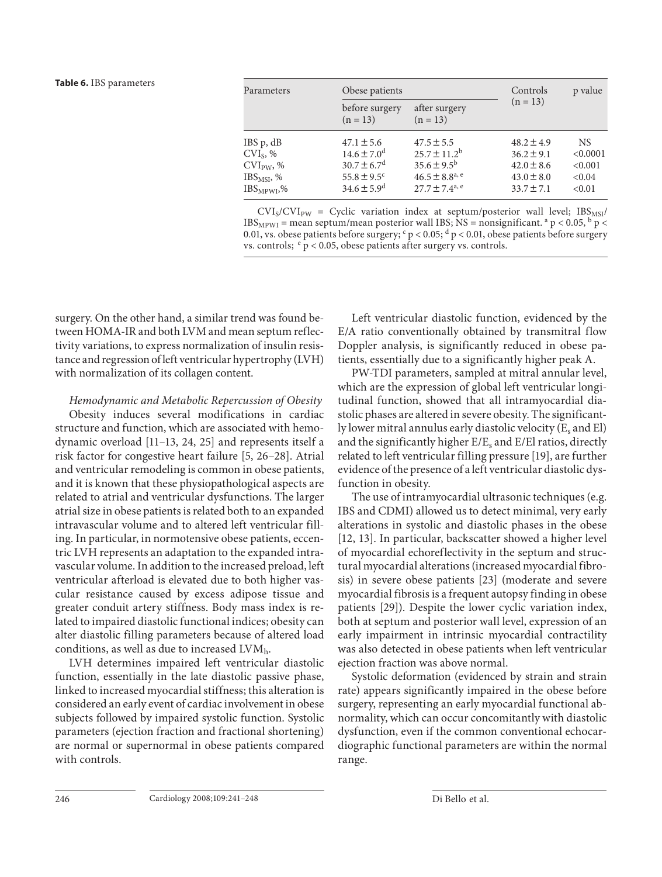#### **Table 6.** IBS parameters

| Parameters            | Obese patients               |                                |                | p value   |
|-----------------------|------------------------------|--------------------------------|----------------|-----------|
|                       | before surgery<br>$(n = 13)$ | after surgery<br>$(n = 13)$    | $(n = 13)$     |           |
| IBS p, dB             | $47.1 \pm 5.6$               | $47.5 \pm 5.5$                 | $48.2 \pm 4.9$ | <b>NS</b> |
| $CVI_s, %$            | $14.6 \pm 7.0$ <sup>d</sup>  | $25.7 \pm 11.2^b$              | $36.2 \pm 9.1$ | < 0.0001  |
| CVI <sub>PW</sub> , % | $30.7 \pm 6.7$ <sup>d</sup>  | $35.6 \pm 9.5^{\rm b}$         | $42.0 \pm 8.6$ | < 0.001   |
| $IBS_{MSI}$ , %       | $55.8 \pm 9.5^c$             | $46.5 \pm 8.8^{a, e}$          | $43.0 \pm 8.0$ | < 0.04    |
| $IBS_{MPWI}$ %        | $34.6 \pm 5.9$ <sup>d</sup>  | $27.7 \pm 7.4$ <sup>a, e</sup> | $33.7 \pm 7.1$ | < 0.01    |

 $CVI<sub>S</sub>/CVI<sub>PW</sub> = Cyclic variation index at septum/posterior wall level; IBS<sub>MSI</sub>/$  $\mathrm{IBS_{MPWI}} =$  mean septum/mean posterior wall IBS; NS = nonsignificant. a p < 0.05, b p < 0.01, vs. obese patients before surgery;  $c$  p < 0.05;  $d$  p < 0.01, obese patients before surgery vs. controls;  $e$  p < 0.05, obese patients after surgery vs. controls.

surgery. On the other hand, a similar trend was found between HOMA-IR and both LVM and mean septum reflectivity variations, to express normalization of insulin resistance and regression of left ventricular hypertrophy (LVH) with normalization of its collagen content.

 *Hemodynamic and Metabolic Repercussion of Obesity* 

 Obesity induces several modifications in cardiac structure and function, which are associated with hemodynamic overload [11–13, 24, 25] and represents itselfa risk factor for congestive heart failure [5, 26–28] . Atrial and ventricular remodeling is common in obese patients, and it is known that these physiopathological aspects are related to atrial and ventricular dysfunctions. The larger atrial size in obese patients is related both to an expanded intravascular volume and to altered left ventricular filling. In particular, in normotensive obese patients, eccentric LVH represents an adaptation to the expanded intravascular volume. In addition to the increased preload, left ventricular afterload is elevated due to both higher vascular resistance caused by excess adipose tissue and greater conduit artery stiffness. Body mass index is related to impaired diastolic functional indices; obesity can alter diastolic filling parameters because of altered load conditions, as well as due to increased  $LVM<sub>h</sub>$ .

 LVH determines impaired left ventricular diastolic function, essentially in the late diastolic passive phase, linked to increased myocardial stiffness; this alteration is considered an early event of cardiac involvement in obese subjects followed by impaired systolic function. Systolic parameters (ejection fraction and fractional shortening) are normal or supernormal in obese patients compared with controls.

 Left ventricular diastolic function, evidenced by the E/A ratio conventionally obtained by transmitral flow Doppler analysis, is significantly reduced in obese patients, essentially due to a significantly higher peak A.

 PW-TDI parameters, sampled at mitral annular level, which are the expression of global left ventricular longitudinal function, showed that all intramyocardial diastolic phases arealtered in severe obesity. The significantly lower mitral annulus early diastolic velocity ( $E_s$  and El) and the significantly higher  $E/E_s$  and  $E/El$  ratios, directly related to left ventricular filling pressure [19] , are further evidence of the presence of a left ventricular diastolic dysfunction in obesity.

 The use of intramyocardial ultrasonic techniques (e.g. IBS and CDMI) allowed us to detect minimal, very early alterations in systolic and diastolic phases in the obese [12, 13]. In particular, backscatter showed a higher level of myocardial echoreflectivity in the septum and structural myocardial alterations (increased myocardial fibrosis) in severe obese patients [23] (moderate and severe myocardial fibrosis is a frequent autopsy finding in obese patients [29]). Despite the lower cyclic variation index, both at septum and posterior wall level, expression of an early impairment in intrinsic myocardial contractility was also detected in obese patients when left ventricular ejection fraction was above normal.

 Systolic deformation (evidenced by strain and strain rate) appears significantly impaired in the obese before surgery, representing an early myocardial functional abnormality, which can occur concomitantly with diastolic dysfunction, even if the common conventional echocardiographic functional parameters are within the normal range.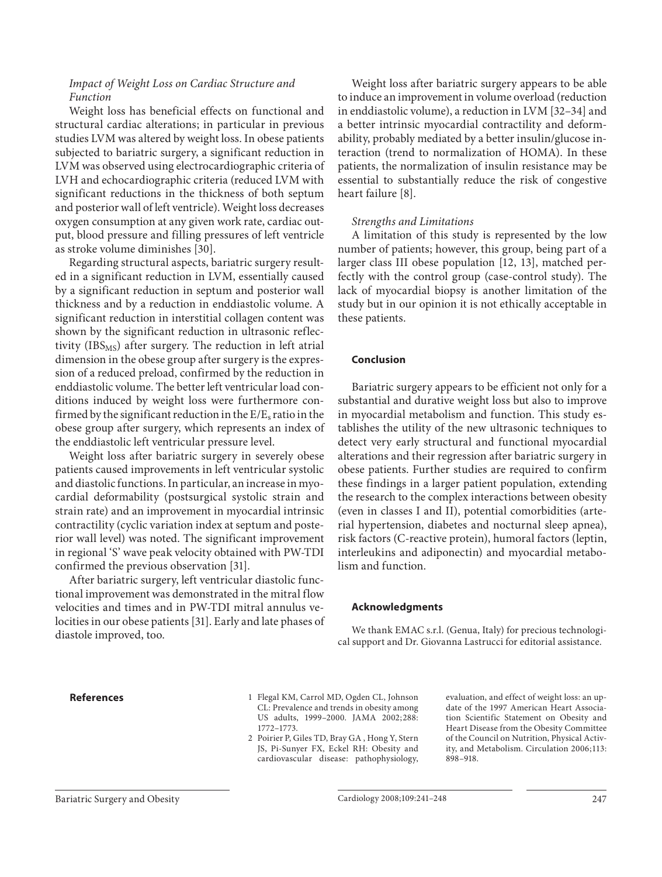# *Impact of Weight Loss on Cardiac Structure and Function*

 Weight loss has beneficial effects on functional and structural cardiac alterations; in particular in previous studies LVM was altered by weight loss. In obese patients subjected to bariatric surgery, a significant reduction in LVM was observed using electrocardiographic criteria of LVH and echocardiographic criteria (reduced LVM with significant reductions in the thickness of both septum and posterior wall of left ventricle). Weight loss decreases oxygen consumption at any given work rate, cardiac output, blood pressure and filling pressures of left ventricle as stroke volume diminishes [30] .

 Regarding structural aspects, bariatric surgery resulted in a significant reduction in LVM, essentially caused by a significant reduction in septum and posterior wall thickness and by a reduction in enddiastolic volume. A significant reduction in interstitial collagen content was shown by the significant reduction in ultrasonic reflectivity (IBS $_{MS}$ ) after surgery. The reduction in left atrial dimension in the obese group after surgery is the expression of a reduced preload, confirmed by the reduction in enddiastolic volume. The better left ventricular load conditions induced by weight loss were furthermore confirmed by the significant reduction in the  $E/E_s$  ratio in the obese group after surgery, which represents an index of the enddiastolic left ventricular pressure level.

 Weight loss after bariatric surgery in severely obese patients caused improvements in left ventricular systolic and diastolic functions. In particular, an increase in myocardial deformability (postsurgical systolic strain and strain rate) and an improvement in myocardial intrinsic contractility (cyclic variation index at septum and posterior wall level) was noted. The significant improvement in regional 'S' wave peak velocity obtained with PW-TDI confirmed the previous observation [31] .

 After bariatric surgery, left ventricular diastolic functional improvement was demonstrated in the mitral flow velocities and times and in PW-TDI mitral annulus velocities in our obese patients [31]. Early and late phases of diastole improved, too.

 Weight loss after bariatric surgery appears to be able to induce an improvement in volume overload (reduction in enddiastolic volume), a reduction in LVM [32–34] and a better intrinsic myocardial contractility and deformability, probably mediated by a better insulin/glucose interaction (trend to normalization of HOMA). In these patients, the normalization of insulin resistance may be essential to substantially reduce the risk of congestive heart failure [8].

# *Strengths and Limitations*

 A limitation of this study is represented by the low number of patients; however, this group, being part of a larger class III obese population [12, 13], matched perfectly with the control group (case-control study). The lack of myocardial biopsy is another limitation of the study but in our opinion it is not ethically acceptable in these patients.

# **Conclusion**

 Bariatric surgery appears to be efficient not only for a substantial and durative weight loss but also to improve in myocardial metabolism and function. This study establishes the utility of the new ultrasonic techniques to detect very early structural and functional myocardial alterations and their regression after bariatric surgery in obese patients. Further studies are required to confirm these findings in a larger patient population, extending the research to the complex interactions between obesity (even in classes I and II), potential comorbidities (arterial hypertension, diabetes and nocturnal sleep apnea), risk factors (C-reactive protein), humoral factors (leptin, interleukins and adiponectin) and myocardial metabolism and function.

#### **Acknowledgments**

 We thank EMAC s.r.l. (Genua, Italy) for precious technological support and Dr. Giovanna Lastrucci for editorial assistance.

**References** 1 Flegal KM, Carrol MD, Ogden CL, Johnson CL: Prevalence and trends in obesity among US adults, 1999–2000. JAMA 2002; 288: 1772–1773.

> 2 Poirier P, Giles TD, Bray GA , Hong Y, Stern JS, Pi-Sunyer FX, Eckel RH: Obesity and cardiovascular disease: pathophysiology,

evaluation, and effect of weight loss: an update of the 1997 American Heart Association Scientific Statement on Obesity and Heart Disease from the Obesity Committee of the Council on Nutrition, Physical Activity, and Metabolism. Circulation 2006; 113: 898–918.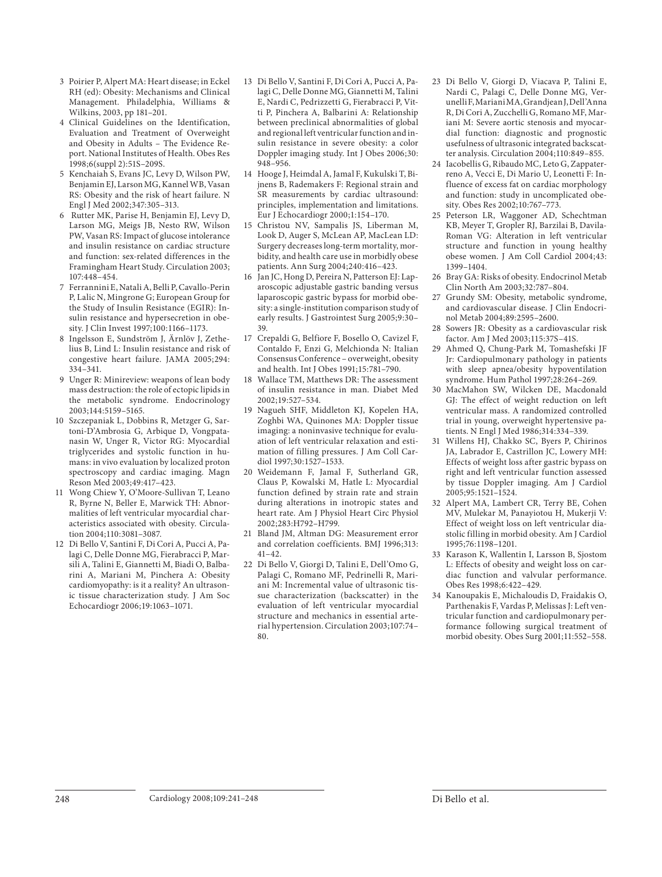- 3 Poirier P, Alpert MA: Heart disease; in Eckel RH (ed): Obesity: Mechanisms and Clinical Management. Philadelphia, Williams & Wilkins, 2003, pp 181–201.
- 4 Clinical Guidelines on the Identification, Evaluation and Treatment of Overweight and Obesity in Adults – The Evidence Report. National Institutes of Health. Obes Res 1998; 6(suppl 2):51S–209S.
- 5 Kenchaiah S, Evans JC, Levy D, Wilson PW, Benjamin EJ, Larson MG, Kannel WB, Vasan RS: Obesity and the risk of heart failure. N Engl J Med 2002;347:305-313.
- 6 Rutter MK, Parise H, Benjamin EJ, Levy D, Larson MG, Meigs JB, Nesto RW, Wilson PW, Vasan RS: Impact of glucose intolerance and insulin resistance on cardiac structure and function: sex-related differences in the Framingham Heart Study. Circulation 2003; 107: 448–454.
- 7 Ferrannini E, Natali A, Belli P, Cavallo-Perin P, Lalic N, Mingrone G; European Group for the Study of Insulin Resistance (EGIR): Insulin resistance and hypersecretion in obesity. J Clin Invest 1997; 100: 1166–1173.
- 8 Ingelsson E, Sundström J, Ärnlöv J, Zethelius B, Lind L: Insulin resistance and risk of congestive heart failure. JAMA 2005; 294: 334–341.
- 9 Unger R: Minireview: weapons of lean body mass destruction: the role of ectopic lipids in the metabolic syndrome. Endocrinology 2003; 144: 5159–5165.
- 10 Szczepaniak L, Dobbins R, Metzger G, Sartoni-D'Ambrosia G, Arbique D, Vongpatanasin W, Unger R, Victor RG: Myocardial triglycerides and systolic function in humans: in vivo evaluation by localized proton spectroscopy and cardiac imaging. Magn Reson Med 2003;49:417-423.
- 11 Wong Chiew Y, O'Moore-Sullivan T, Leano R, Byrne N, Beller E, Marwick TH: Abnormalities of left ventricular myocardial characteristics associated with obesity. Circulation 2004;110:3081-3087.
- 12 Di Bello V, Santini F, Di Cori A, Pucci A, Palagi C, Delle Donne MG, Fierabracci P, Marsili A, Talini E, Giannetti M, Biadi O, Balbarini A, Mariani M, Pinchera A: Obesity cardiomyopathy: is it a reality? An ultrasonic tissue characterization study. J Am Soc Echocardiogr 2006; 19: 1063–1071.
- 13 Di Bello V, Santini F, Di Cori A, Pucci A, Palagi C, Delle Donne MG, Giannetti M, Talini E, Nardi C, Pedrizzetti G, Fierabracci P, Vitti P, Pinchera A, Balbarini A: Relationship between preclinical abnormalities of global and regional left ventricular function and insulin resistance in severe obesity: a color Doppler imaging study. Int J Obes 2006; 30: 948–956.
- 14 Hooge J, Heimdal A, Jamal F, Kukulski T, Bijnens B, Rademakers F: Regional strain and SR measurements by cardiac ultrasound: principles, implementation and limitations. Eur J Echocardiogr 2000; 1: 154–170.
- 15 Christou NV, Sampalis JS, Liberman M, Look D, Auger S, McLean AP, MacLean LD: Surgery decreases long-term mortality, morbidity, and health care use in morbidly obese patients. Ann Surg 2004;240:416-423.
- 16 Jan JC, Hong D, Pereira N, Patterson EJ: Laparoscopic adjustable gastric banding versus laparoscopic gastric bypass for morbid obesity: a single-institution comparison study of early results. J Gastrointest Surg 2005;9:30-39.
- 17 Crepaldi G, Belfiore F, Bosello O, Cavizel F, Contaldo F, Enzi G, Melchionda N: Italian Consensus Conference – overweight, obesity and health. Int J Obes 1991; 15: 781–790.
- 18 Wallace TM, Matthews DR: The assessment of insulin resistance in man. Diabet Med 2002; 19: 527–534.
- 19 Nagueh SHF, Middleton KJ, Kopelen HA, Zoghbi WA, Quinones MA: Doppler tissue imaging: a noninvasive technique for evaluation of left ventricular relaxation and estimation of filling pressures. J Am Coll Cardiol 1997; 30: 1527–1533.
- 20 Weidemann F, Jamal F, Sutherland GR, Claus P, Kowalski M, Hatle L: Myocardial function defined by strain rate and strain during alterations in inotropic states and heart rate. Am J Physiol Heart Circ Physiol 2002; 283:H792–H799.
- 21 Bland JM, Altman DG: Measurement error and correlation coefficients. BMJ 1996; 313: 41–42.
- 22 Di Bello V, Giorgi D, Talini E, Dell'Omo G, Palagi C, Romano MF, Pedrinelli R, Mariani M: Incremental value of ultrasonic tissue characterization (backscatter) in the evaluation of left ventricular myocardial structure and mechanics in essential arterial hypertension. Circulation 2003;107:74-80.
- 23 Di Bello V, Giorgi D, Viacava P, Talini E, Nardi C, Palagi C, Delle Donne MG, Verunelli F, Mariani MA, Grandjean J, Dell'Anna R, Di Cori A, Zucchelli G, Romano MF, Mariani M: Severe aortic stenosis and myocardial function: diagnostic and prognostic usefulness of ultrasonic integrated backscatter analysis. Circulation 2004; 110: 849–855.
- 24 Iacobellis G, Ribaudo MC, Leto G, Zappaterreno A, Vecci E, Di Mario U, Leonetti F: Influence of excess fat on cardiac morphology and function: study in uncomplicated obesity. Obes Res 2002;10:767-773.
- 25 Peterson LR, Waggoner AD, Schechtman KB, Meyer T, Gropler RJ, Barzilai B, Davila-Roman VG: Alteration in left ventricular structure and function in young healthy obese women. J Am Coll Cardiol 2004;43: 1399–1404.
- 26 Bray GA: Risks of obesity. Endocrinol Metab Clin North Am 2003; 32: 787–804.
- 27 Grundy SM: Obesity, metabolic syndrome, and cardiovascular disease. J Clin Endocrinol Metab 2004;89:2595-2600.
- 28 Sowers JR: Obesity as a cardiovascular risk factor. Am J Med 2003; 115: 37S–41S.
- 29 Ahmed Q, Chung-Park M, Tomashefski JF Jr: Cardiopulmonary pathology in patients with sleep apnea/obesity hypoventilation syndrome. Hum Pathol 1997;28:264-269.
- 30 MacMahon SW, Wilcken DE, Macdonald GJ: The effect of weight reduction on left ventricular mass. A randomized controlled trial in young, overweight hypertensive patients. N Engl J Med 1986; 314: 334–339.
- 31 Willens HJ, Chakko SC, Byers P, Chirinos JA, Labrador E, Castrillon JC, Lowery MH: Effects of weight loss after gastric bypass on right and left ventricular function assessed by tissue Doppler imaging. Am J Cardiol 2005; 95: 1521–1524.
- 32 Alpert MA, Lambert CR, Terry BE, Cohen MV, Mulekar M, Panayiotou H, Mukerji V: Effect of weight loss on left ventricular diastolic filling in morbid obesity. Am J Cardiol 1995; 76: 1198–1201.
- 33 Karason K, Wallentin I, Larsson B, Sjostom L: Effects of obesity and weight loss on cardiac function and valvular performance. Obes Res 1998;6:422-429.
- 34 Kanoupakis E, Michaloudis D, Fraidakis O, Parthenakis F, Vardas P, Melissas J: Left ventricular function and cardiopulmonary performance following surgical treatment of morbid obesity. Obes Surg 2001;11:552-558.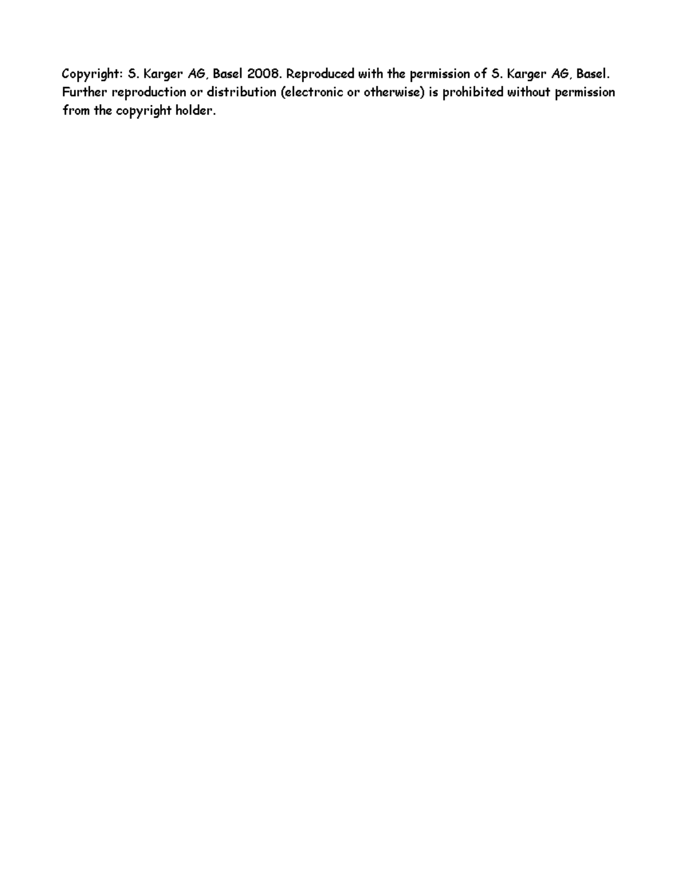Copyright: S. Karger AG, Basel 2008. Reproduced with the permission of S. Karger AG, Basel. Further reproduction or distribution (electronic or otherwise) is prohibited without permission from the copyright holder.